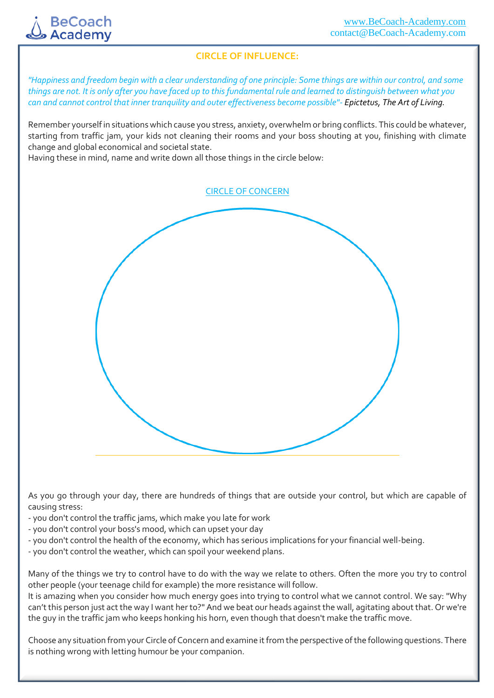

## **CIRCLE OF INFLUENCE:**

*"Happiness and freedom begin with a clear understanding of one principle: Some things are within our control, and some things are not. It is only after you have faced up to this fundamental rule and learned to distinguish between what you can and cannot control that inner tranquility and outer effectiveness become possible"- Epictetus, The Art of Living.*

Remember yourself in situations which cause you stress, anxiety, overwhelm or bring conflicts. This could be whatever, starting from traffic jam, your kids not cleaning their rooms and your boss shouting at you, finishing with climate change and global economical and societal state.

Having these in mind, name and write down all those things in the circle below:

CIRCLE OF CONCERN

As you go through your day, there are hundreds of things that are outside your control, but which are capable of causing stress:

- you don't control the traffic jams, which make you late for work
- you don't control your boss's mood, which can upset your day
- you don't control the health of the economy, which has serious implications for your financial well-being.
- you don't control the weather, which can spoil your weekend plans.

Many of the things we try to control have to do with the way we relate to others. Often the more you try to control other people (your teenage child for example) the more resistance will follow.

It is amazing when you consider how much energy goes into trying to control what we cannot control. We say: "Why can't this person just act the way I want her to?" And we beat our heads against the wall, agitating about that. Or we're the guy in the traffic jam who keeps honking his horn, even though that doesn't make the traffic move.

Choose any situation from your Circle of Concern and examine it from the perspective of the following questions. There is nothing wrong with letting humour be your companion.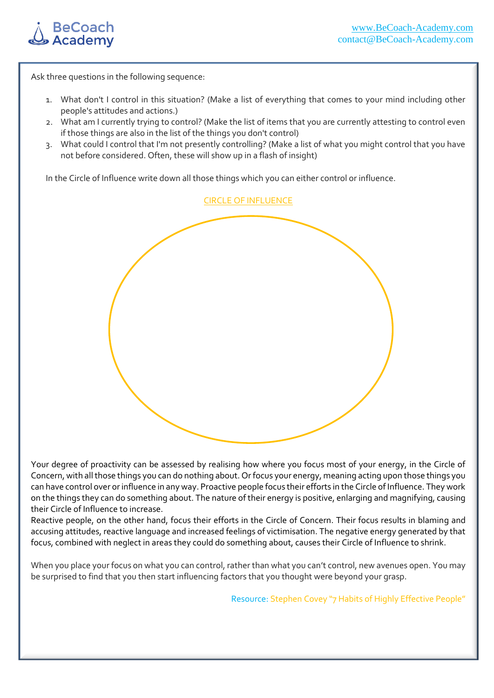

Ask three questions in the following sequence:

- 1. What don't I control in this situation? (Make a list of everything that comes to your mind including other people's attitudes and actions.)
- 2. What am I currently trying to control? (Make the list of items that you are currently attesting to control even if those things are also in the list of the things you don't control)
- 3. What could I control that I'm not presently controlling? (Make a list of what you might control that you have not before considered. Often, these will show up in a flash of insight)

In the Circle of Influence write down all those things which you can either control or influence.



Your degree of proactivity can be assessed by realising how where you focus most of your energy, in the Circle of Concern, with all those things you can do nothing about. Or focus your energy, meaning acting upon those things you can have control over or influence in any way. Proactive people focus their efforts in the Circle of Influence. They work on the things they can do something about. The nature of their energy is positive, enlarging and magnifying, causing their Circle of Influence to increase.

Reactive people, on the other hand, focus their efforts in the Circle of Concern. Their focus results in blaming and accusing attitudes, reactive language and increased feelings of victimisation. The negative energy generated by that focus, combined with neglect in areas they could do something about, causes their Circle of Influence to shrink.

When you place your focus on what you can control, rather than what you can't control, new avenues open. You may be surprised to find that you then start influencing factors that you thought were beyond your grasp.

Resource: Stephen Covey "7 Habits of Highly Effective People"